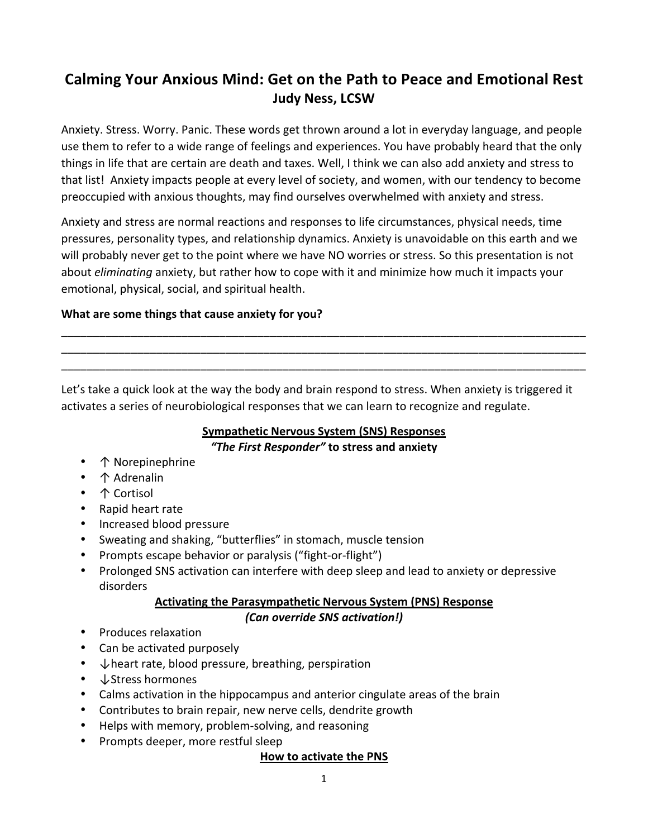# **Calming Your Anxious Mind: Get on the Path to Peace and Emotional Rest Judy Ness, LCSW**

Anxiety. Stress. Worry. Panic. These words get thrown around a lot in everyday language, and people use them to refer to a wide range of feelings and experiences. You have probably heard that the only things in life that are certain are death and taxes. Well, I think we can also add anxiety and stress to that list! Anxiety impacts people at every level of society, and women, with our tendency to become preoccupied with anxious thoughts, may find ourselves overwhelmed with anxiety and stress.

Anxiety and stress are normal reactions and responses to life circumstances, physical needs, time pressures, personality types, and relationship dynamics. Anxiety is unavoidable on this earth and we will probably never get to the point where we have NO worries or stress. So this presentation is not about *eliminating* anxiety, but rather how to cope with it and minimize how much it impacts your emotional, physical, social, and spiritual health.

\_\_\_\_\_\_\_\_\_\_\_\_\_\_\_\_\_\_\_\_\_\_\_\_\_\_\_\_\_\_\_\_\_\_\_\_\_\_\_\_\_\_\_\_\_\_\_\_\_\_\_\_\_\_\_\_\_\_\_\_\_\_\_\_\_\_\_\_\_\_\_\_\_\_\_\_\_\_\_\_\_\_\_ \_\_\_\_\_\_\_\_\_\_\_\_\_\_\_\_\_\_\_\_\_\_\_\_\_\_\_\_\_\_\_\_\_\_\_\_\_\_\_\_\_\_\_\_\_\_\_\_\_\_\_\_\_\_\_\_\_\_\_\_\_\_\_\_\_\_\_\_\_\_\_\_\_\_\_\_\_\_\_\_\_\_\_ \_\_\_\_\_\_\_\_\_\_\_\_\_\_\_\_\_\_\_\_\_\_\_\_\_\_\_\_\_\_\_\_\_\_\_\_\_\_\_\_\_\_\_\_\_\_\_\_\_\_\_\_\_\_\_\_\_\_\_\_\_\_\_\_\_\_\_\_\_\_\_\_\_\_\_\_\_\_\_\_\_\_\_

#### **What are some things that cause anxiety for you?**

Let's take a quick look at the way the body and brain respond to stress. When anxiety is triggered it activates a series of neurobiological responses that we can learn to recognize and regulate.

## **Sympathetic Nervous System (SNS) Responses**

#### *"The First Responder"* **to stress and anxiety**

- 个 Norepinephrine
- 个 Adrenalin
- 个 Cortisol
- Rapid heart rate
- Increased blood pressure
- Sweating and shaking, "butterflies" in stomach, muscle tension
- Prompts escape behavior or paralysis ("fight-or-flight")
- Prolonged SNS activation can interfere with deep sleep and lead to anxiety or depressive disorders

### **Activating the Parasympathetic Nervous System (PNS) Response** *(Can override SNS activation!)*

- Produces relaxation
- Can be activated purposely
- $\downarrow$  heart rate, blood pressure, breathing, perspiration
- **↓Stress hormones**
- Calms activation in the hippocampus and anterior cingulate areas of the brain
- Contributes to brain repair, new nerve cells, dendrite growth
- Helps with memory, problem-solving, and reasoning
- Prompts deeper, more restful sleep

#### **How to activate the PNS**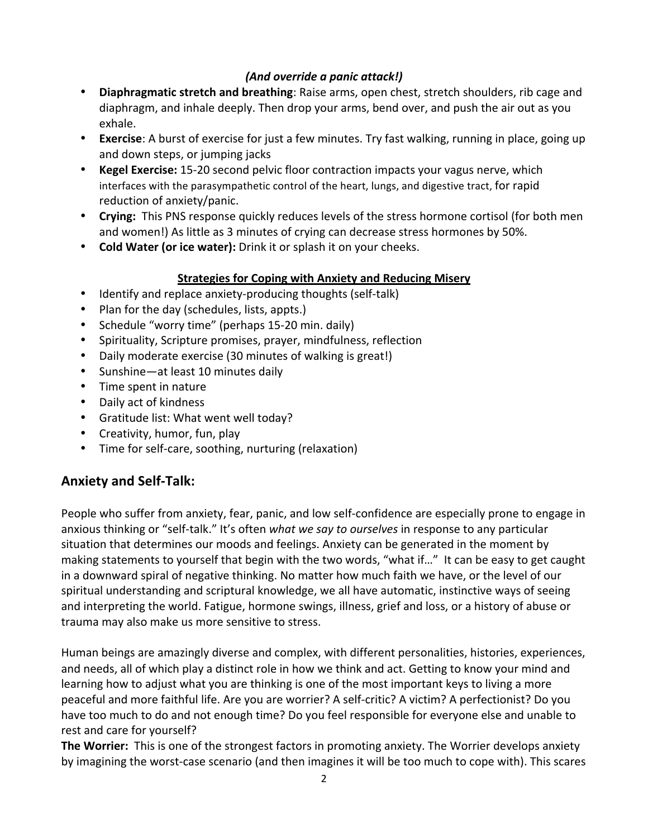### *(And override a panic attack!)*

- Diaphragmatic stretch and breathing: Raise arms, open chest, stretch shoulders, rib cage and diaphragm, and inhale deeply. Then drop your arms, bend over, and push the air out as you exhale.
- **Exercise**: A burst of exercise for just a few minutes. Try fast walking, running in place, going up and down steps, or jumping jacks
- **Kegel Exercise:** 15-20 second pelvic floor contraction impacts your vagus nerve, which interfaces with the parasympathetic control of the heart, lungs, and digestive tract, for rapid reduction of anxiety/panic.
- Crying: This PNS response quickly reduces levels of the stress hormone cortisol (for both men and women!) As little as 3 minutes of crying can decrease stress hormones by 50%.
- Cold Water (or ice water): Drink it or splash it on your cheeks.

### **Strategies for Coping with Anxiety and Reducing Misery**

- Identify and replace anxiety-producing thoughts (self-talk)
- Plan for the day (schedules, lists, appts.)
- Schedule "worry time" (perhaps 15-20 min. daily)
- Spirituality, Scripture promises, prayer, mindfulness, reflection
- Daily moderate exercise (30 minutes of walking is great!)
- Sunshine—at least 10 minutes daily
- Time spent in nature
- Daily act of kindness
- Gratitude list: What went well today?
- Creativity, humor, fun, play
- Time for self-care, soothing, nurturing (relaxation)

### **Anxiety and Self-Talk:**

People who suffer from anxiety, fear, panic, and low self-confidence are especially prone to engage in anxious thinking or "self-talk." It's often what we say to ourselves in response to any particular situation that determines our moods and feelings. Anxiety can be generated in the moment by making statements to yourself that begin with the two words, "what if..." It can be easy to get caught in a downward spiral of negative thinking. No matter how much faith we have, or the level of our spiritual understanding and scriptural knowledge, we all have automatic, instinctive ways of seeing and interpreting the world. Fatigue, hormone swings, illness, grief and loss, or a history of abuse or trauma may also make us more sensitive to stress.

Human beings are amazingly diverse and complex, with different personalities, histories, experiences, and needs, all of which play a distinct role in how we think and act. Getting to know your mind and learning how to adjust what you are thinking is one of the most important keys to living a more peaceful and more faithful life. Are you are worrier? A self-critic? A victim? A perfectionist? Do you have too much to do and not enough time? Do you feel responsible for everyone else and unable to rest and care for yourself?

**The Worrier:** This is one of the strongest factors in promoting anxiety. The Worrier develops anxiety by imagining the worst-case scenario (and then imagines it will be too much to cope with). This scares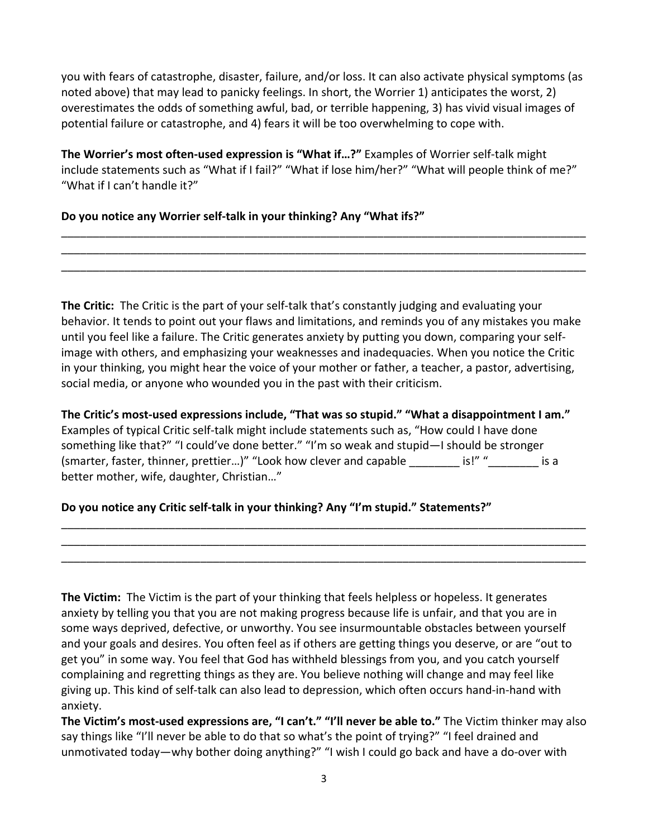you with fears of catastrophe, disaster, failure, and/or loss. It can also activate physical symptoms (as noted above) that may lead to panicky feelings. In short, the Worrier 1) anticipates the worst, 2) overestimates the odds of something awful, bad, or terrible happening, 3) has vivid visual images of potential failure or catastrophe, and 4) fears it will be too overwhelming to cope with.

**The Worrier's most often-used expression is "What if...?"** Examples of Worrier self-talk might include statements such as "What if I fail?" "What if lose him/her?" "What will people think of me?" "What if I can't handle it?"

\_\_\_\_\_\_\_\_\_\_\_\_\_\_\_\_\_\_\_\_\_\_\_\_\_\_\_\_\_\_\_\_\_\_\_\_\_\_\_\_\_\_\_\_\_\_\_\_\_\_\_\_\_\_\_\_\_\_\_\_\_\_\_\_\_\_\_\_\_\_\_\_\_\_\_\_\_\_\_\_\_\_\_ \_\_\_\_\_\_\_\_\_\_\_\_\_\_\_\_\_\_\_\_\_\_\_\_\_\_\_\_\_\_\_\_\_\_\_\_\_\_\_\_\_\_\_\_\_\_\_\_\_\_\_\_\_\_\_\_\_\_\_\_\_\_\_\_\_\_\_\_\_\_\_\_\_\_\_\_\_\_\_\_\_\_\_ \_\_\_\_\_\_\_\_\_\_\_\_\_\_\_\_\_\_\_\_\_\_\_\_\_\_\_\_\_\_\_\_\_\_\_\_\_\_\_\_\_\_\_\_\_\_\_\_\_\_\_\_\_\_\_\_\_\_\_\_\_\_\_\_\_\_\_\_\_\_\_\_\_\_\_\_\_\_\_\_\_\_\_

Do you notice any Worrier self-talk in your thinking? Any "What ifs?"

**The Critic:** The Critic is the part of your self-talk that's constantly judging and evaluating your behavior. It tends to point out your flaws and limitations, and reminds you of any mistakes you make until you feel like a failure. The Critic generates anxiety by putting you down, comparing your selfimage with others, and emphasizing your weaknesses and inadequacies. When you notice the Critic in your thinking, you might hear the voice of your mother or father, a teacher, a pastor, advertising, social media, or anyone who wounded you in the past with their criticism.

The Critic's most-used expressions include, "That was so stupid." "What a disappointment I am." Examples of typical Critic self-talk might include statements such as, "How could I have done something like that?" "I could've done better." "I'm so weak and stupid—I should be stronger (smarter, faster, thinner, prettier...)" "Look how clever and capable  $\qquad \qquad$  is!" " better mother, wife, daughter, Christian..."

\_\_\_\_\_\_\_\_\_\_\_\_\_\_\_\_\_\_\_\_\_\_\_\_\_\_\_\_\_\_\_\_\_\_\_\_\_\_\_\_\_\_\_\_\_\_\_\_\_\_\_\_\_\_\_\_\_\_\_\_\_\_\_\_\_\_\_\_\_\_\_\_\_\_\_\_\_\_\_\_\_\_\_ \_\_\_\_\_\_\_\_\_\_\_\_\_\_\_\_\_\_\_\_\_\_\_\_\_\_\_\_\_\_\_\_\_\_\_\_\_\_\_\_\_\_\_\_\_\_\_\_\_\_\_\_\_\_\_\_\_\_\_\_\_\_\_\_\_\_\_\_\_\_\_\_\_\_\_\_\_\_\_\_\_\_\_ \_\_\_\_\_\_\_\_\_\_\_\_\_\_\_\_\_\_\_\_\_\_\_\_\_\_\_\_\_\_\_\_\_\_\_\_\_\_\_\_\_\_\_\_\_\_\_\_\_\_\_\_\_\_\_\_\_\_\_\_\_\_\_\_\_\_\_\_\_\_\_\_\_\_\_\_\_\_\_\_\_\_\_

### Do you notice any Critic self-talk in your thinking? Any "I'm stupid." Statements?"

**The Victim:** The Victim is the part of your thinking that feels helpless or hopeless. It generates anxiety by telling you that you are not making progress because life is unfair, and that you are in some ways deprived, defective, or unworthy. You see insurmountable obstacles between yourself and your goals and desires. You often feel as if others are getting things you deserve, or are "out to get you" in some way. You feel that God has withheld blessings from you, and you catch yourself complaining and regretting things as they are. You believe nothing will change and may feel like giving up. This kind of self-talk can also lead to depression, which often occurs hand-in-hand with anxiety.

The Victim's most-used expressions are, "I can't." "I'll never be able to." The Victim thinker may also say things like "I'll never be able to do that so what's the point of trying?" "I feel drained and unmotivated today—why bother doing anything?" "I wish I could go back and have a do-over with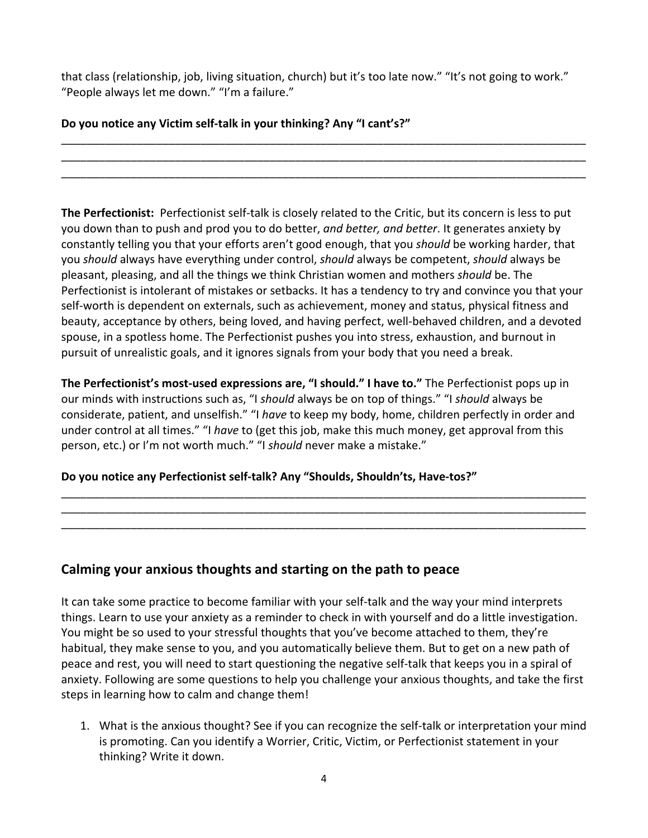that class (relationship, job, living situation, church) but it's too late now." "It's not going to work." "People always let me down." "I'm a failure."

\_\_\_\_\_\_\_\_\_\_\_\_\_\_\_\_\_\_\_\_\_\_\_\_\_\_\_\_\_\_\_\_\_\_\_\_\_\_\_\_\_\_\_\_\_\_\_\_\_\_\_\_\_\_\_\_\_\_\_\_\_\_\_\_\_\_\_\_\_\_\_\_\_\_\_\_\_\_\_\_\_\_\_ \_\_\_\_\_\_\_\_\_\_\_\_\_\_\_\_\_\_\_\_\_\_\_\_\_\_\_\_\_\_\_\_\_\_\_\_\_\_\_\_\_\_\_\_\_\_\_\_\_\_\_\_\_\_\_\_\_\_\_\_\_\_\_\_\_\_\_\_\_\_\_\_\_\_\_\_\_\_\_\_\_\_\_ \_\_\_\_\_\_\_\_\_\_\_\_\_\_\_\_\_\_\_\_\_\_\_\_\_\_\_\_\_\_\_\_\_\_\_\_\_\_\_\_\_\_\_\_\_\_\_\_\_\_\_\_\_\_\_\_\_\_\_\_\_\_\_\_\_\_\_\_\_\_\_\_\_\_\_\_\_\_\_\_\_\_\_

Do you notice any Victim self-talk in your thinking? Any "I cant's?"

**The Perfectionist:** Perfectionist self-talk is closely related to the Critic, but its concern is less to put you down than to push and prod you to do better, and better, and better. It generates anxiety by constantly telling you that your efforts aren't good enough, that you should be working harder, that you *should* always have everything under control, *should* always be competent, *should* always be pleasant, pleasing, and all the things we think Christian women and mothers *should* be. The Perfectionist is intolerant of mistakes or setbacks. It has a tendency to try and convince you that your self-worth is dependent on externals, such as achievement, money and status, physical fitness and beauty, acceptance by others, being loved, and having perfect, well-behaved children, and a devoted spouse, in a spotless home. The Perfectionist pushes you into stress, exhaustion, and burnout in pursuit of unrealistic goals, and it ignores signals from your body that you need a break.

The Perfectionist's most-used expressions are, "I should." I have to." The Perfectionist pops up in our minds with instructions such as, "I *should* always be on top of things." "I *should* always be considerate, patient, and unselfish." "I have to keep my body, home, children perfectly in order and under control at all times." "I have to (get this job, make this much money, get approval from this person, etc.) or I'm not worth much." "I should never make a mistake."

\_\_\_\_\_\_\_\_\_\_\_\_\_\_\_\_\_\_\_\_\_\_\_\_\_\_\_\_\_\_\_\_\_\_\_\_\_\_\_\_\_\_\_\_\_\_\_\_\_\_\_\_\_\_\_\_\_\_\_\_\_\_\_\_\_\_\_\_\_\_\_\_\_\_\_\_\_\_\_\_\_\_\_ \_\_\_\_\_\_\_\_\_\_\_\_\_\_\_\_\_\_\_\_\_\_\_\_\_\_\_\_\_\_\_\_\_\_\_\_\_\_\_\_\_\_\_\_\_\_\_\_\_\_\_\_\_\_\_\_\_\_\_\_\_\_\_\_\_\_\_\_\_\_\_\_\_\_\_\_\_\_\_\_\_\_\_ \_\_\_\_\_\_\_\_\_\_\_\_\_\_\_\_\_\_\_\_\_\_\_\_\_\_\_\_\_\_\_\_\_\_\_\_\_\_\_\_\_\_\_\_\_\_\_\_\_\_\_\_\_\_\_\_\_\_\_\_\_\_\_\_\_\_\_\_\_\_\_\_\_\_\_\_\_\_\_\_\_\_\_

### Do you notice any Perfectionist self-talk? Any "Shoulds, Shouldn'ts, Have-tos?"

## Calming your anxious thoughts and starting on the path to peace

It can take some practice to become familiar with your self-talk and the way your mind interprets things. Learn to use your anxiety as a reminder to check in with yourself and do a little investigation. You might be so used to your stressful thoughts that you've become attached to them, they're habitual, they make sense to you, and you automatically believe them. But to get on a new path of peace and rest, you will need to start questioning the negative self-talk that keeps you in a spiral of anxiety. Following are some questions to help you challenge your anxious thoughts, and take the first steps in learning how to calm and change them!

1. What is the anxious thought? See if you can recognize the self-talk or interpretation your mind is promoting. Can you identify a Worrier, Critic, Victim, or Perfectionist statement in your thinking? Write it down.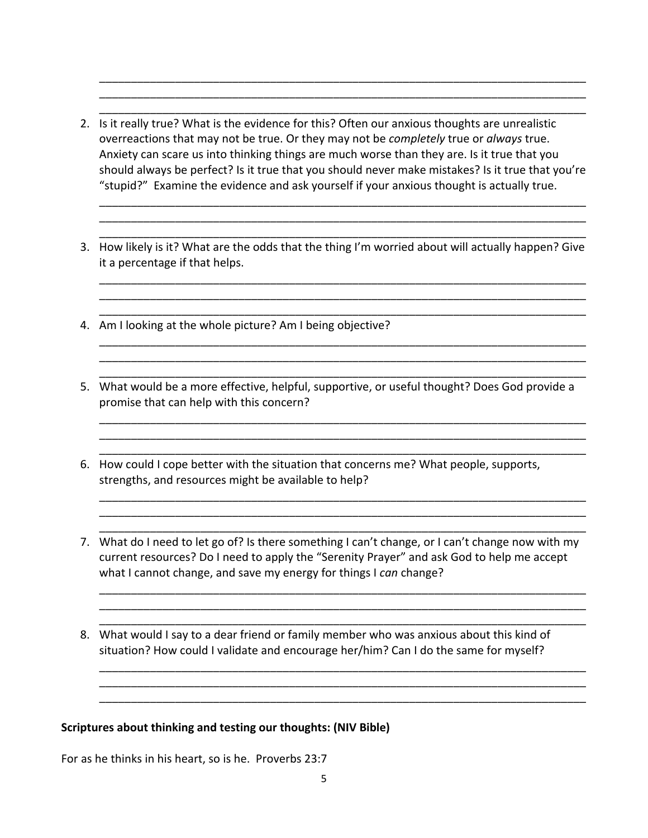2. Is it really true? What is the evidence for this? Often our anxious thoughts are unrealistic overreactions that may not be true. Or they may not be *completely* true or *always* true. Anxiety can scare us into thinking things are much worse than they are. Is it true that you should always be perfect? Is it true that you should never make mistakes? Is it true that you're "stupid?" Examine the evidence and ask yourself if your anxious thought is actually true.

\_\_\_\_\_\_\_\_\_\_\_\_\_\_\_\_\_\_\_\_\_\_\_\_\_\_\_\_\_\_\_\_\_\_\_\_\_\_\_\_\_\_\_\_\_\_\_\_\_\_\_\_\_\_\_\_\_\_\_\_\_\_\_\_\_\_\_\_\_\_\_\_\_\_\_\_\_ \_\_\_\_\_\_\_\_\_\_\_\_\_\_\_\_\_\_\_\_\_\_\_\_\_\_\_\_\_\_\_\_\_\_\_\_\_\_\_\_\_\_\_\_\_\_\_\_\_\_\_\_\_\_\_\_\_\_\_\_\_\_\_\_\_\_\_\_\_\_\_\_\_\_\_\_\_ \_\_\_\_\_\_\_\_\_\_\_\_\_\_\_\_\_\_\_\_\_\_\_\_\_\_\_\_\_\_\_\_\_\_\_\_\_\_\_\_\_\_\_\_\_\_\_\_\_\_\_\_\_\_\_\_\_\_\_\_\_\_\_\_\_\_\_\_\_\_\_\_\_\_\_\_\_

\_\_\_\_\_\_\_\_\_\_\_\_\_\_\_\_\_\_\_\_\_\_\_\_\_\_\_\_\_\_\_\_\_\_\_\_\_\_\_\_\_\_\_\_\_\_\_\_\_\_\_\_\_\_\_\_\_\_\_\_\_\_\_\_\_\_\_\_\_\_\_\_\_\_\_\_\_ \_\_\_\_\_\_\_\_\_\_\_\_\_\_\_\_\_\_\_\_\_\_\_\_\_\_\_\_\_\_\_\_\_\_\_\_\_\_\_\_\_\_\_\_\_\_\_\_\_\_\_\_\_\_\_\_\_\_\_\_\_\_\_\_\_\_\_\_\_\_\_\_\_\_\_\_\_ \_\_\_\_\_\_\_\_\_\_\_\_\_\_\_\_\_\_\_\_\_\_\_\_\_\_\_\_\_\_\_\_\_\_\_\_\_\_\_\_\_\_\_\_\_\_\_\_\_\_\_\_\_\_\_\_\_\_\_\_\_\_\_\_\_\_\_\_\_\_\_\_\_\_\_\_\_

3. How likely is it? What are the odds that the thing I'm worried about will actually happen? Give it a percentage if that helps.

\_\_\_\_\_\_\_\_\_\_\_\_\_\_\_\_\_\_\_\_\_\_\_\_\_\_\_\_\_\_\_\_\_\_\_\_\_\_\_\_\_\_\_\_\_\_\_\_\_\_\_\_\_\_\_\_\_\_\_\_\_\_\_\_\_\_\_\_\_\_\_\_\_\_\_\_\_ \_\_\_\_\_\_\_\_\_\_\_\_\_\_\_\_\_\_\_\_\_\_\_\_\_\_\_\_\_\_\_\_\_\_\_\_\_\_\_\_\_\_\_\_\_\_\_\_\_\_\_\_\_\_\_\_\_\_\_\_\_\_\_\_\_\_\_\_\_\_\_\_\_\_\_\_\_ \_\_\_\_\_\_\_\_\_\_\_\_\_\_\_\_\_\_\_\_\_\_\_\_\_\_\_\_\_\_\_\_\_\_\_\_\_\_\_\_\_\_\_\_\_\_\_\_\_\_\_\_\_\_\_\_\_\_\_\_\_\_\_\_\_\_\_\_\_\_\_\_\_\_\_\_\_

\_\_\_\_\_\_\_\_\_\_\_\_\_\_\_\_\_\_\_\_\_\_\_\_\_\_\_\_\_\_\_\_\_\_\_\_\_\_\_\_\_\_\_\_\_\_\_\_\_\_\_\_\_\_\_\_\_\_\_\_\_\_\_\_\_\_\_\_\_\_\_\_\_\_\_\_\_ \_\_\_\_\_\_\_\_\_\_\_\_\_\_\_\_\_\_\_\_\_\_\_\_\_\_\_\_\_\_\_\_\_\_\_\_\_\_\_\_\_\_\_\_\_\_\_\_\_\_\_\_\_\_\_\_\_\_\_\_\_\_\_\_\_\_\_\_\_\_\_\_\_\_\_\_\_ \_\_\_\_\_\_\_\_\_\_\_\_\_\_\_\_\_\_\_\_\_\_\_\_\_\_\_\_\_\_\_\_\_\_\_\_\_\_\_\_\_\_\_\_\_\_\_\_\_\_\_\_\_\_\_\_\_\_\_\_\_\_\_\_\_\_\_\_\_\_\_\_\_\_\_\_\_

\_\_\_\_\_\_\_\_\_\_\_\_\_\_\_\_\_\_\_\_\_\_\_\_\_\_\_\_\_\_\_\_\_\_\_\_\_\_\_\_\_\_\_\_\_\_\_\_\_\_\_\_\_\_\_\_\_\_\_\_\_\_\_\_\_\_\_\_\_\_\_\_\_\_\_\_\_ \_\_\_\_\_\_\_\_\_\_\_\_\_\_\_\_\_\_\_\_\_\_\_\_\_\_\_\_\_\_\_\_\_\_\_\_\_\_\_\_\_\_\_\_\_\_\_\_\_\_\_\_\_\_\_\_\_\_\_\_\_\_\_\_\_\_\_\_\_\_\_\_\_\_\_\_\_ \_\_\_\_\_\_\_\_\_\_\_\_\_\_\_\_\_\_\_\_\_\_\_\_\_\_\_\_\_\_\_\_\_\_\_\_\_\_\_\_\_\_\_\_\_\_\_\_\_\_\_\_\_\_\_\_\_\_\_\_\_\_\_\_\_\_\_\_\_\_\_\_\_\_\_\_\_

\_\_\_\_\_\_\_\_\_\_\_\_\_\_\_\_\_\_\_\_\_\_\_\_\_\_\_\_\_\_\_\_\_\_\_\_\_\_\_\_\_\_\_\_\_\_\_\_\_\_\_\_\_\_\_\_\_\_\_\_\_\_\_\_\_\_\_\_\_\_\_\_\_\_\_\_\_ \_\_\_\_\_\_\_\_\_\_\_\_\_\_\_\_\_\_\_\_\_\_\_\_\_\_\_\_\_\_\_\_\_\_\_\_\_\_\_\_\_\_\_\_\_\_\_\_\_\_\_\_\_\_\_\_\_\_\_\_\_\_\_\_\_\_\_\_\_\_\_\_\_\_\_\_\_ \_\_\_\_\_\_\_\_\_\_\_\_\_\_\_\_\_\_\_\_\_\_\_\_\_\_\_\_\_\_\_\_\_\_\_\_\_\_\_\_\_\_\_\_\_\_\_\_\_\_\_\_\_\_\_\_\_\_\_\_\_\_\_\_\_\_\_\_\_\_\_\_\_\_\_\_\_

\_\_\_\_\_\_\_\_\_\_\_\_\_\_\_\_\_\_\_\_\_\_\_\_\_\_\_\_\_\_\_\_\_\_\_\_\_\_\_\_\_\_\_\_\_\_\_\_\_\_\_\_\_\_\_\_\_\_\_\_\_\_\_\_\_\_\_\_\_\_\_\_\_\_\_\_\_ \_\_\_\_\_\_\_\_\_\_\_\_\_\_\_\_\_\_\_\_\_\_\_\_\_\_\_\_\_\_\_\_\_\_\_\_\_\_\_\_\_\_\_\_\_\_\_\_\_\_\_\_\_\_\_\_\_\_\_\_\_\_\_\_\_\_\_\_\_\_\_\_\_\_\_\_\_ \_\_\_\_\_\_\_\_\_\_\_\_\_\_\_\_\_\_\_\_\_\_\_\_\_\_\_\_\_\_\_\_\_\_\_\_\_\_\_\_\_\_\_\_\_\_\_\_\_\_\_\_\_\_\_\_\_\_\_\_\_\_\_\_\_\_\_\_\_\_\_\_\_\_\_\_\_

\_\_\_\_\_\_\_\_\_\_\_\_\_\_\_\_\_\_\_\_\_\_\_\_\_\_\_\_\_\_\_\_\_\_\_\_\_\_\_\_\_\_\_\_\_\_\_\_\_\_\_\_\_\_\_\_\_\_\_\_\_\_\_\_\_\_\_\_\_\_\_\_\_\_\_\_\_ \_\_\_\_\_\_\_\_\_\_\_\_\_\_\_\_\_\_\_\_\_\_\_\_\_\_\_\_\_\_\_\_\_\_\_\_\_\_\_\_\_\_\_\_\_\_\_\_\_\_\_\_\_\_\_\_\_\_\_\_\_\_\_\_\_\_\_\_\_\_\_\_\_\_\_\_\_ \_\_\_\_\_\_\_\_\_\_\_\_\_\_\_\_\_\_\_\_\_\_\_\_\_\_\_\_\_\_\_\_\_\_\_\_\_\_\_\_\_\_\_\_\_\_\_\_\_\_\_\_\_\_\_\_\_\_\_\_\_\_\_\_\_\_\_\_\_\_\_\_\_\_\_\_\_

- 4. Am I looking at the whole picture? Am I being objective?
- 5. What would be a more effective, helpful, supportive, or useful thought? Does God provide a promise that can help with this concern?
- 6. How could I cope better with the situation that concerns me? What people, supports, strengths, and resources might be available to help?
- 7. What do I need to let go of? Is there something I can't change, or I can't change now with my current resources? Do I need to apply the "Serenity Prayer" and ask God to help me accept what I cannot change, and save my energy for things I can change?
- 8. What would I say to a dear friend or family member who was anxious about this kind of situation? How could I validate and encourage her/him? Can I do the same for myself?

#### **Scriptures about thinking and testing our thoughts: (NIV Bible)**

For as he thinks in his heart, so is he. Proverbs 23:7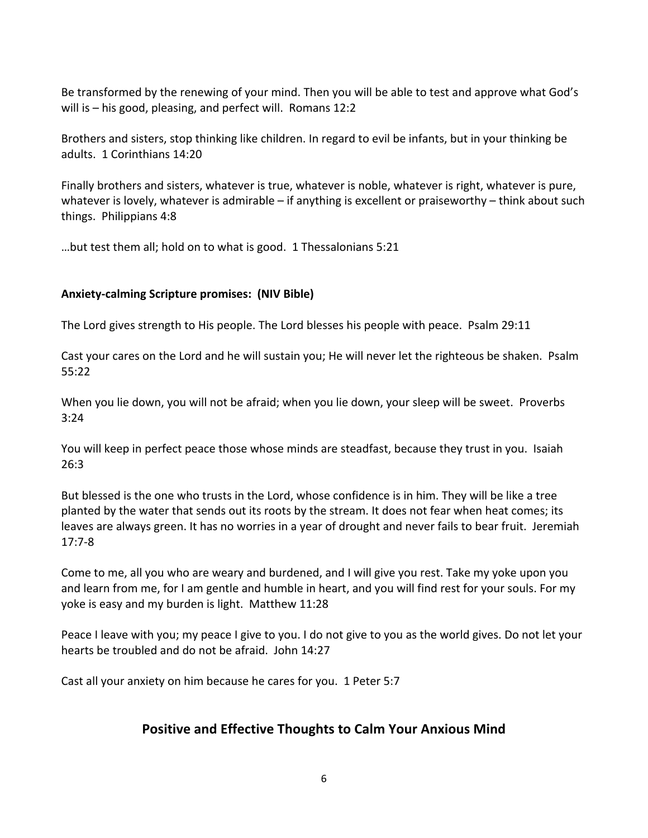Be transformed by the renewing of your mind. Then you will be able to test and approve what God's will is  $-$  his good, pleasing, and perfect will. Romans 12:2

Brothers and sisters, stop thinking like children. In regard to evil be infants, but in your thinking be adults. 1 Corinthians 14:20

Finally brothers and sisters, whatever is true, whatever is noble, whatever is right, whatever is pure, whatever is lovely, whatever is admirable  $-$  if anything is excellent or praiseworthy  $-$  think about such things. Philippians 4:8

...but test them all; hold on to what is good. 1 Thessalonians  $5:21$ 

#### Anxiety-calming Scripture promises: (NIV Bible)

The Lord gives strength to His people. The Lord blesses his people with peace. Psalm 29:11

Cast your cares on the Lord and he will sustain you; He will never let the righteous be shaken. Psalm 55:22

When you lie down, you will not be afraid; when you lie down, your sleep will be sweet. Proverbs 3:24

You will keep in perfect peace those whose minds are steadfast, because they trust in you. Isaiah 26:3

But blessed is the one who trusts in the Lord, whose confidence is in him. They will be like a tree planted by the water that sends out its roots by the stream. It does not fear when heat comes; its leaves are always green. It has no worries in a year of drought and never fails to bear fruit. Jeremiah 17:7-8

Come to me, all you who are weary and burdened, and I will give you rest. Take my yoke upon you and learn from me, for I am gentle and humble in heart, and you will find rest for your souls. For my yoke is easy and my burden is light. Matthew 11:28

Peace I leave with you; my peace I give to you. I do not give to you as the world gives. Do not let your hearts be troubled and do not be afraid. John 14:27

Cast all your anxiety on him because he cares for you. 1 Peter 5:7

### **Positive and Effective Thoughts to Calm Your Anxious Mind**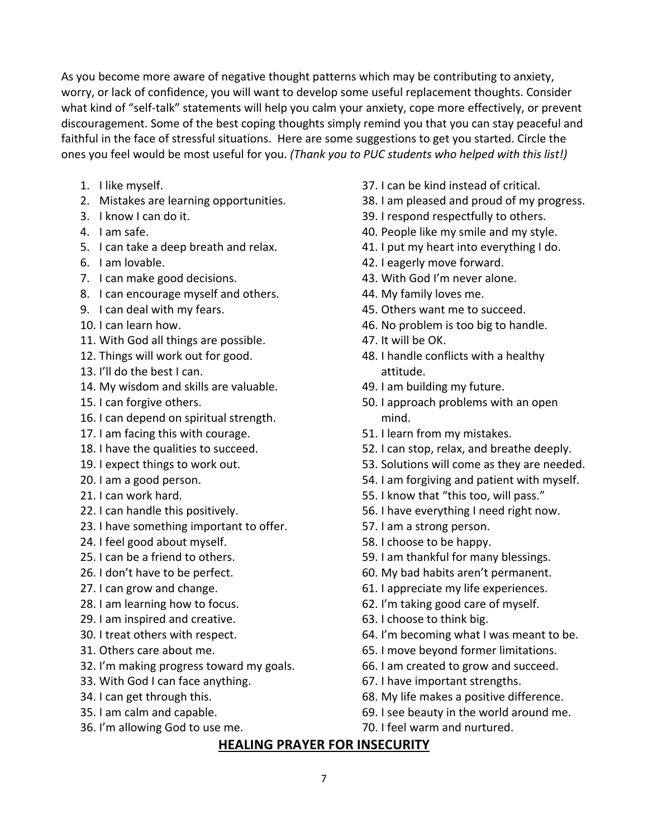As you become more aware of negative thought patterns which may be contributing to anxiety, worry, or lack of confidence, you will want to develop some useful replacement thoughts. Consider what kind of "self-talk" statements will help you calm your anxiety, cope more effectively, or prevent discouragement. Some of the best coping thoughts simply remind you that you can stay peaceful and faithful in the face of stressful situations. Here are some suggestions to get you started. Circle the ones you feel would be most useful for you. (Thank you to PUC students who helped with this list!)

- 1. I like myself.
- 2. Mistakes are learning opportunities.
- 3. I know I can do it.
- 4. Lam safe.
- 5. I can take a deep breath and relax.
- 6. I am lovable.
- 7. I can make good decisions.
- 8. I can encourage myself and others.
- 9. I can deal with my fears.
- 10. I can learn how.
- 11. With God all things are possible.
- 12. Things will work out for good.
- 13. I'll do the best I can.
- 14. My wisdom and skills are valuable.
- 15. I can forgive others.
- 16. I can depend on spiritual strength.
- 17. I am facing this with courage.
- 18. I have the qualities to succeed.
- 19. I expect things to work out.
- 20. I am a good person.
- 21. I can work hard.
- 22. I can handle this positively.
- 23. I have something important to offer.
- 24. I feel good about myself.
- 25. I can be a friend to others.
- 26. I don't have to be perfect.
- 27. I can grow and change.
- 28. I am learning how to focus.
- 29. I am inspired and creative.
- 30. I treat others with respect.
- 31. Others care about me.
- 32. I'm making progress toward my goals.
- 33. With God I can face anything.
- 34. I can get through this.
- 35. I am calm and capable.
- 36. I'm allowing God to use me.
- 37. I can be kind instead of critical.
- 38. I am pleased and proud of my progress.
- 39. I respond respectfully to others.
- 40. People like my smile and my style.
- 41. I put my heart into everything I do.
- 42. I eagerly move forward.
- 43. With God I'm never alone.
- 44. My family loves me.
- 45. Others want me to succeed.
- 46. No problem is too big to handle.
- 47. It will be OK.
- 48. I handle conflicts with a healthy attitude.
- 49. I am building my future.
- 50. I approach problems with an open mind.
- 51. I learn from my mistakes.
- 52. I can stop, relax, and breathe deeply.
- 53. Solutions will come as they are needed.
- 54. I am forgiving and patient with myself.
- 55. I know that "this too, will pass."
- 56. I have everything I need right now.
- 57. I am a strong person.
- 58. I choose to be happy.
- 59. I am thankful for many blessings.
- 60. My bad habits aren't permanent.
- 61. I appreciate my life experiences.
- 62. I'm taking good care of myself.
- 63. I choose to think big.
- 64. I'm becoming what I was meant to be.
- 65. I move beyond former limitations.
- 66. I am created to grow and succeed.
- 67. I have important strengths.
- 68. My life makes a positive difference.
- 69. I see beauty in the world around me.
- 70. I feel warm and nurtured.

### **HEALING PRAYER FOR INSECURITY**